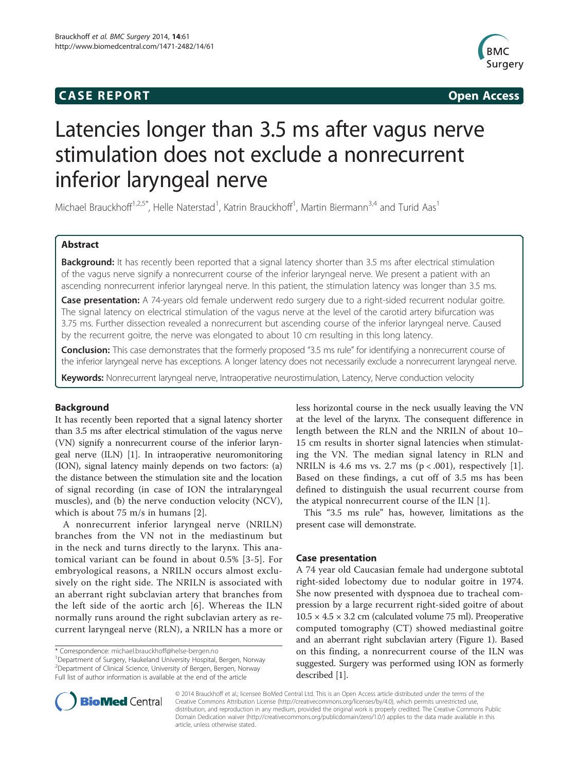## **CASE REPORT CASE REPORT**



# Latencies longer than 3.5 ms after vagus nerve stimulation does not exclude a nonrecurrent inferior laryngeal nerve

Michael Brauckhoff<sup>1,2,5\*</sup>, Helle Naterstad<sup>1</sup>, Katrin Brauckhoff<sup>1</sup>, Martin Biermann<sup>3,4</sup> and Turid Aas<sup>1</sup>

## Abstract

Background: It has recently been reported that a signal latency shorter than 3.5 ms after electrical stimulation of the vagus nerve signify a nonrecurrent course of the inferior laryngeal nerve. We present a patient with an ascending nonrecurrent inferior laryngeal nerve. In this patient, the stimulation latency was longer than 3.5 ms.

Case presentation: A 74-years old female underwent redo surgery due to a right-sided recurrent nodular goitre. The signal latency on electrical stimulation of the vagus nerve at the level of the carotid artery bifurcation was 3.75 ms. Further dissection revealed a nonrecurrent but ascending course of the inferior laryngeal nerve. Caused by the recurrent goitre, the nerve was elongated to about 10 cm resulting in this long latency.

Conclusion: This case demonstrates that the formerly proposed "3.5 ms rule" for identifying a nonrecurrent course of the inferior laryngeal nerve has exceptions. A longer latency does not necessarily exclude a nonrecurrent laryngeal nerve.

Keywords: Nonrecurrent laryngeal nerve, Intraoperative neurostimulation, Latency, Nerve conduction velocity

## Background

It has recently been reported that a signal latency shorter than 3.5 ms after electrical stimulation of the vagus nerve (VN) signify a nonrecurrent course of the inferior laryngeal nerve (ILN) [\[1\]](#page-3-0). In intraoperative neuromonitoring (ION), signal latency mainly depends on two factors: (a) the distance between the stimulation site and the location of signal recording (in case of ION the intralaryngeal muscles), and (b) the nerve conduction velocity (NCV), which is about 75 m/s in humans [\[2](#page-3-0)].

A nonrecurrent inferior laryngeal nerve (NRILN) branches from the VN not in the mediastinum but in the neck and turns directly to the larynx. This anatomical variant can be found in about 0.5% [[3-5\]](#page-3-0). For embryological reasons, a NRILN occurs almost exclusively on the right side. The NRILN is associated with an aberrant right subclavian artery that branches from the left side of the aortic arch [\[6](#page-3-0)]. Whereas the ILN normally runs around the right subclavian artery as recurrent laryngeal nerve (RLN), a NRILN has a more or

<sup>1</sup>Department of Surgery, Haukeland University Hospital, Bergen, Norway 2 Department of Clinical Science, University of Bergen, Bergen, Norway Full list of author information is available at the end of the article

less horizontal course in the neck usually leaving the VN at the level of the larynx. The consequent difference in length between the RLN and the NRILN of about 10– 15 cm results in shorter signal latencies when stimulating the VN. The median signal latency in RLN and NRILN is 4.6 ms vs. 2.7 ms  $(p < .001)$ , respectively [\[1](#page-3-0)]. Based on these findings, a cut off of 3.5 ms has been defined to distinguish the usual recurrent course from the atypical nonrecurrent course of the ILN [[1\]](#page-3-0).

This "3.5 ms rule" has, however, limitations as the present case will demonstrate.

## Case presentation

A 74 year old Caucasian female had undergone subtotal right-sided lobectomy due to nodular goitre in 1974. She now presented with dyspnoea due to tracheal compression by a large recurrent right-sided goitre of about  $10.5 \times 4.5 \times 3.2$  cm (calculated volume 75 ml). Preoperative computed tomography (CT) showed mediastinal goitre and an aberrant right subclavian artery (Figure [1](#page-1-0)). Based on this finding, a nonrecurrent course of the ILN was suggested. Surgery was performed using ION as formerly described [\[1](#page-3-0)].



© 2014 Brauckhoff et al.; licensee BioMed Central Ltd. This is an Open Access article distributed under the terms of the Creative Commons Attribution License (<http://creativecommons.org/licenses/by/4.0>), which permits unrestricted use, distribution, and reproduction in any medium, provided the original work is properly credited. The Creative Commons Public Domain Dedication waiver [\(http://creativecommons.org/publicdomain/zero/1.0/\)](http://creativecommons.org/publicdomain/zero/1.0/) applies to the data made available in this article, unless otherwise stated.

<sup>\*</sup> Correspondence: [michael.brauckhoff@helse-bergen.no](mailto:michael.brauckhoff@helse-bergen.no) <sup>1</sup>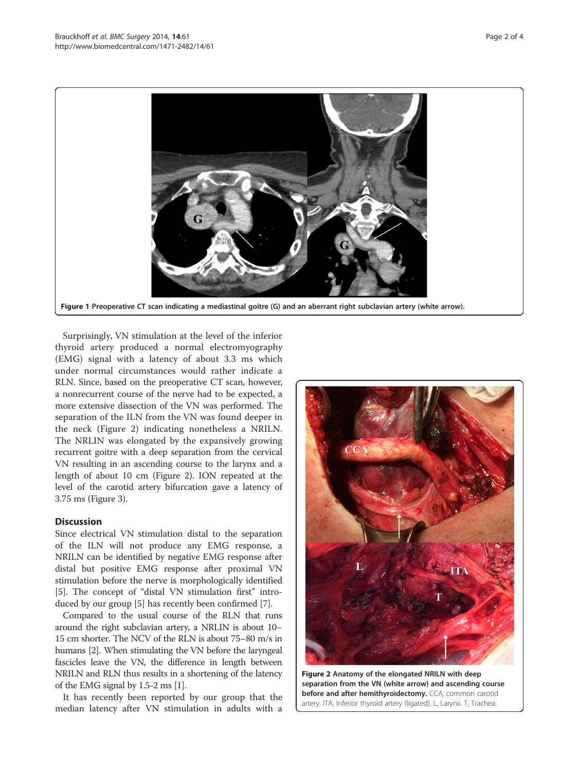<span id="page-1-0"></span>

Surprisingly, VN stimulation at the level of the inferior thyroid artery produced a normal electromyography (EMG) signal with a latency of about 3.3 ms which under normal circumstances would rather indicate a RLN. Since, based on the preoperative CT scan, however, a nonrecurrent course of the nerve had to be expected, a more extensive dissection of the VN was performed. The separation of the ILN from the VN was found deeper in the neck (Figure 2) indicating nonetheless a NRILN. The NRLIN was elongated by the expansively growing recurrent goitre with a deep separation from the cervical VN resulting in an ascending course to the larynx and a length of about 10 cm (Figure 2). ION repeated at the level of the carotid artery bifurcation gave a latency of 3.75 ms (Figure [3](#page-2-0)).

## **Discussion**

Since electrical VN stimulation distal to the separation of the ILN will not produce any EMG response, a NRILN can be identified by negative EMG response after distal but positive EMG response after proximal VN stimulation before the nerve is morphologically identified [[5\]](#page-3-0). The concept of "distal VN stimulation first" introduced by our group [\[5](#page-3-0)] has recently been confirmed [[7](#page-3-0)].

Compared to the usual course of the RLN that runs around the right subclavian artery, a NRLIN is about 10– 15 cm shorter. The NCV of the RLN is about 75–80 m/s in humans [\[2\]](#page-3-0). When stimulating the VN before the laryngeal fascicles leave the VN, the difference in length between NRILN and RLN thus results in a shortening of the latency of the EMG signal by 1.5-2 ms [\[1\]](#page-3-0).

It has recently been reported by our group that the median latency after VN stimulation in adults with a



Figure 2 Anatomy of the elongated NRILN with deep separation from the VN (white arrow) and ascending course before and after hemithyroidectomy. CCA, common carotid artery. ITA, Inferior thyroid artery (ligated). L, Larynx. T, Trachea.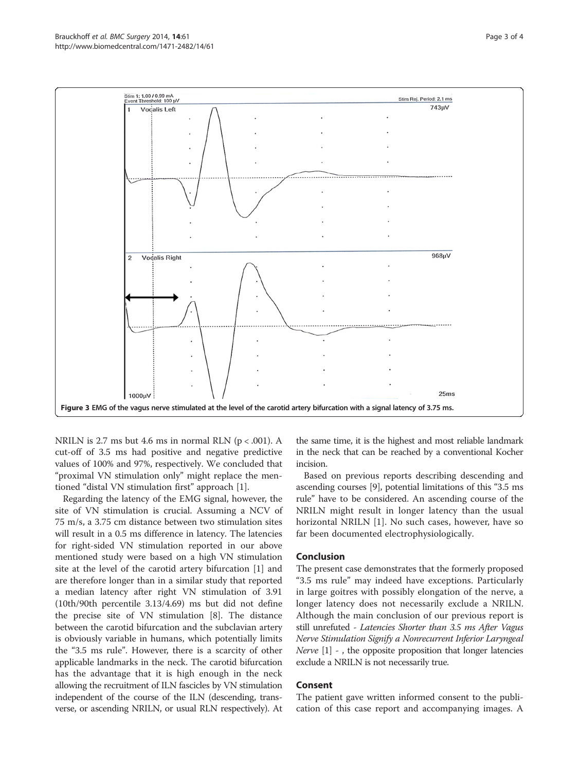<span id="page-2-0"></span>

NRILN is 2.7 ms but 4.6 ms in normal RLN  $(p < .001)$ . A cut-off of 3.5 ms had positive and negative predictive values of 100% and 97%, respectively. We concluded that "proximal VN stimulation only" might replace the mentioned "distal VN stimulation first" approach [\[1](#page-3-0)].

Regarding the latency of the EMG signal, however, the site of VN stimulation is crucial. Assuming a NCV of 75 m/s, a 3.75 cm distance between two stimulation sites will result in a 0.5 ms difference in latency. The latencies for right-sided VN stimulation reported in our above mentioned study were based on a high VN stimulation site at the level of the carotid artery bifurcation [[1\]](#page-3-0) and are therefore longer than in a similar study that reported a median latency after right VN stimulation of 3.91 (10th/90th percentile 3.13/4.69) ms but did not define the precise site of VN stimulation [[8\]](#page-3-0). The distance between the carotid bifurcation and the subclavian artery is obviously variable in humans, which potentially limits the "3.5 ms rule". However, there is a scarcity of other applicable landmarks in the neck. The carotid bifurcation has the advantage that it is high enough in the neck allowing the recruitment of ILN fascicles by VN stimulation independent of the course of the ILN (descending, transverse, or ascending NRILN, or usual RLN respectively). At

the same time, it is the highest and most reliable landmark in the neck that can be reached by a conventional Kocher incision.

Based on previous reports describing descending and ascending courses [\[9](#page-3-0)], potential limitations of this "3.5 ms rule" have to be considered. An ascending course of the NRILN might result in longer latency than the usual horizontal NRILN [[1\]](#page-3-0). No such cases, however, have so far been documented electrophysiologically.

## Conclusion

The present case demonstrates that the formerly proposed "3.5 ms rule" may indeed have exceptions. Particularly in large goitres with possibly elongation of the nerve, a longer latency does not necessarily exclude a NRILN. Although the main conclusion of our previous report is still unrefuted - Latencies Shorter than 3.5 ms After Vagus<br>Nerve Stimulation Signify a Nonrecurrent Inferior Laryngeal Nerve  $[1]$  - , the opposite proposition that longer latencies exclude a NRILN is not necessarily true.

## Consent

The patient gave written informed consent to the publication of this case report and accompanying images. A